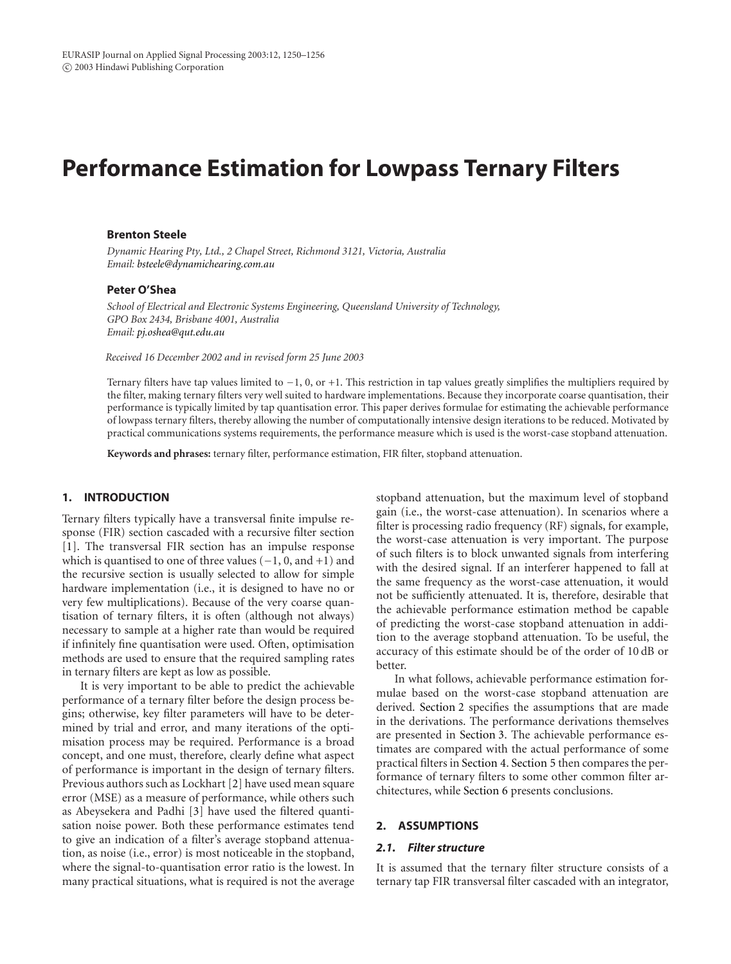# **Performance Estimation for Lowpass Ternary Filters**

# **Brenton Steele**

*Dynamic Hearing Pty, Ltd., 2 Chapel Street, Richmond 3121, Victoria, Australia Email: [bsteele@dynamichearing.com.au](mailto:bsteele@dynamichearing.com.au)*

# **Peter O'Shea**

*School of Electrical and Electronic Systems Engineering, Queensland University of Technology, GPO Box 2434, Brisbane 4001, Australia Email: [pj.oshea@qut.edu.au](mailto:pj.oshea@qut.edu.au)*

*Received 16 December 2002 and in revised form 25 June 2003*

Ternary filters have tap values limited to −1, 0, or +1. This restriction in tap values greatly simplifies the multipliers required by the filter, making ternary filters very well suited to hardware implementations. Because they incorporate coarse quantisation, their performance is typically limited by tap quantisation error. This paper derives formulae for estimating the achievable performance of lowpass ternary filters, thereby allowing the number of computationally intensive design iterations to be reduced. Motivated by practical communications systems requirements, the performance measure which is used is the worst-case stopband attenuation.

**Keywords and phrases:** ternary filter, performance estimation, FIR filter, stopband attenuation.

# **1. INTRODUCTION**

Ternary filters typically have a transversal finite impulse response (FIR) section cascaded with a recursive filter section [\[1](#page-5-0)]. The transversal FIR section has an impulse response which is quantised to one of three values  $(-1, 0, \text{ and } +1)$  and the recursive section is usually selected to allow for simple hardware implementation (i.e., it is designed to have no or very few multiplications). Because of the very coarse quantisation of ternary filters, it is often (although not always) necessary to sample at a higher rate than would be required if infinitely fine quantisation were used. Often, optimisation methods are used to ensure that the required sampling rates in ternary filters are kept as low as possible.

It is very important to be able to predict the achievable performance of a ternary filter before the design process begins; otherwise, key filter parameters will have to be determined by trial and error, and many iterations of the optimisation process may be required. Performance is a broad concept, and one must, therefore, clearly define what aspect of performance is important in the design of ternary filters. Previous authors such as Lockhart [\[2\]](#page-5-1) have used mean square error (MSE) as a measure of performance, while others such as Abeysekera and Padhi [\[3\]](#page-5-2) have used the filtered quantisation noise power. Both these performance estimates tend to give an indication of a filter's average stopband attenuation, as noise (i.e., error) is most noticeable in the stopband, where the signal-to-quantisation error ratio is the lowest. In many practical situations, what is required is not the average

stopband attenuation, but the maximum level of stopband gain (i.e., the worst-case attenuation). In scenarios where a filter is processing radio frequency (RF) signals, for example, the worst-case attenuation is very important. The purpose of such filters is to block unwanted signals from interfering with the desired signal. If an interferer happened to fall at the same frequency as the worst-case attenuation, it would not be sufficiently attenuated. It is, therefore, desirable that the achievable performance estimation method be capable of predicting the worst-case stopband attenuation in addition to the average stopband attenuation. To be useful, the accuracy of this estimate should be of the order of 10 dB or better.

In what follows, achievable performance estimation formulae based on the worst-case stopband attenuation are derived. [Section 2](#page-0-0) specifies the assumptions that are made in the derivations. The performance derivations themselves are presented in [Section 3.](#page-2-0) The achievable performance estimates are compared with the actual performance of some practical filters in [Section 4.](#page-4-0) [Section 5](#page-4-1) then compares the performance of ternary filters to some other common filter architectures, while [Section 6](#page-5-3) presents conclusions.

#### <span id="page-0-0"></span>**2. ASSUMPTIONS**

#### *2.1. Filter structure*

It is assumed that the ternary filter structure consists of a ternary tap FIR transversal filter cascaded with an integrator,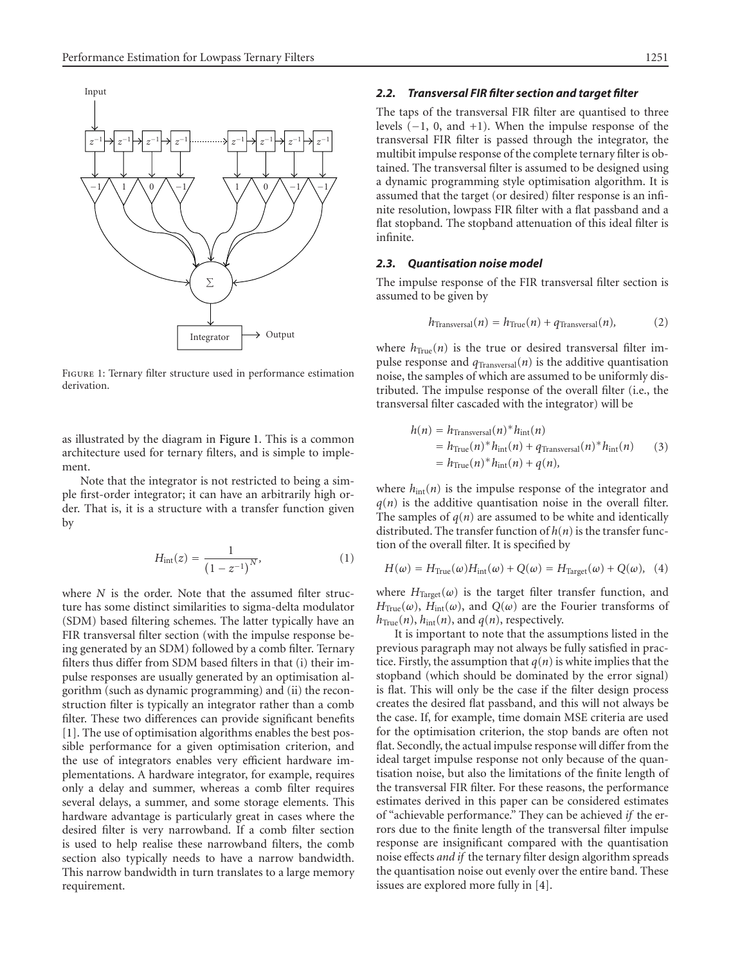

<span id="page-1-0"></span>Figure 1: Ternary filter structure used in performance estimation derivation.

as illustrated by the diagram in [Figure 1.](#page-1-0) This is a common architecture used for ternary filters, and is simple to implement.

Note that the integrator is not restricted to being a simple first-order integrator; it can have an arbitrarily high order. That is, it is a structure with a transfer function given by

$$
H_{\rm int}(z) = \frac{1}{(1 - z^{-1})^N},\tag{1}
$$

where *N* is the order. Note that the assumed filter structure has some distinct similarities to sigma-delta modulator (SDM) based filtering schemes. The latter typically have an FIR transversal filter section (with the impulse response being generated by an SDM) followed by a comb filter. Ternary filters thus differ from SDM based filters in that (i) their impulse responses are usually generated by an optimisation algorithm (such as dynamic programming) and (ii) the reconstruction filter is typically an integrator rather than a comb filter. These two differences can provide significant benefits [\[1](#page-5-0)]. The use of optimisation algorithms enables the best possible performance for a given optimisation criterion, and the use of integrators enables very efficient hardware implementations. A hardware integrator, for example, requires only a delay and summer, whereas a comb filter requires several delays, a summer, and some storage elements. This hardware advantage is particularly great in cases where the desired filter is very narrowband. If a comb filter section is used to help realise these narrowband filters, the comb section also typically needs to have a narrow bandwidth. This narrow bandwidth in turn translates to a large memory requirement.

# *2.2. Transversal FIR filter section and target filter*

The taps of the transversal FIR filter are quantised to three levels (−1, 0, and +1). When the impulse response of the transversal FIR filter is passed through the integrator, the multibit impulse response of the complete ternary filter is obtained. The transversal filter is assumed to be designed using a dynamic programming style optimisation algorithm. It is assumed that the target (or desired) filter response is an infinite resolution, lowpass FIR filter with a flat passband and a flat stopband. The stopband attenuation of this ideal filter is infinite.

# <span id="page-1-1"></span>*2.3. Quantisation noise model*

The impulse response of the FIR transversal filter section is assumed to be given by

$$
h_{\text{Transversal}}(n) = h_{\text{True}}(n) + q_{\text{Transversal}}(n), \tag{2}
$$

where  $h_{True}(n)$  is the true or desired transversal filter impulse response and  $q_{\text{Transversal}}(n)$  is the additive quantisation noise, the samples of which are assumed to be uniformly distributed. The impulse response of the overall filter (i.e., the transversal filter cascaded with the integrator) will be

$$
h(n) = h_{\text{Transversal}}(n)^* h_{\text{int}}(n)
$$
  
=  $h_{\text{True}}(n)^* h_{\text{int}}(n) + q_{\text{Transversal}}(n)^* h_{\text{int}}(n)$  (3)  
=  $h_{\text{True}}(n)^* h_{\text{int}}(n) + q(n)$ ,

where  $h_{\text{int}}(n)$  is the impulse response of the integrator and  $q(n)$  is the additive quantisation noise in the overall filter. The samples of  $q(n)$  are assumed to be white and identically distributed. The transfer function of  $h(n)$  is the transfer function of the overall filter. It is specified by

$$
H(\omega) = H_{\text{True}}(\omega)H_{\text{int}}(\omega) + Q(\omega) = H_{\text{Target}}(\omega) + Q(\omega), \quad (4)
$$

where  $H_{\text{Target}}(\omega)$  is the target filter transfer function, and  $H_{True}(\omega)$ ,  $H_{int}(\omega)$ , and  $Q(\omega)$  are the Fourier transforms of  $h_{True}(n)$ ,  $h_{int}(n)$ , and  $q(n)$ , respectively.

It is important to note that the assumptions listed in the previous paragraph may not always be fully satisfied in practice. Firstly, the assumption that  $q(n)$  is white implies that the stopband (which should be dominated by the error signal) is flat. This will only be the case if the filter design process creates the desired flat passband, and this will not always be the case. If, for example, time domain MSE criteria are used for the optimisation criterion, the stop bands are often not flat. Secondly, the actual impulse response will differ from the ideal target impulse response not only because of the quantisation noise, but also the limitations of the finite length of the transversal FIR filter. For these reasons, the performance estimates derived in this paper can be considered estimates of "achievable performance." They can be achieved *if* the errors due to the finite length of the transversal filter impulse response are insignificant compared with the quantisation noise effects *and if* the ternary filter design algorithm spreads the quantisation noise out evenly over the entire band. These issues are explored more fully in [\[4\]](#page-5-4).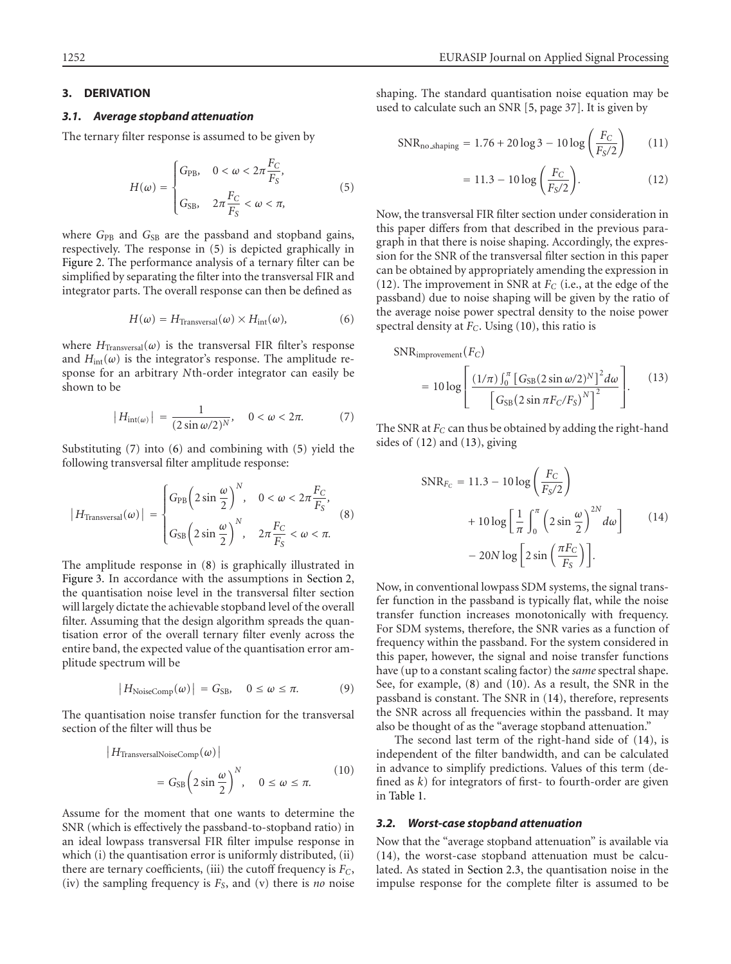# <span id="page-2-0"></span>**3. DERIVATION**

#### *3.1. Average stopband attenuation*

The ternary filter response is assumed to be given by

<span id="page-2-1"></span>
$$
H(\omega) = \begin{cases} G_{\text{PB}}, & 0 < \omega < 2\pi \frac{F_C}{F_S}, \\ G_{\text{SB}}, & 2\pi \frac{F_C}{F_S} < \omega < \pi, \end{cases} \tag{5}
$$

where *G*<sub>PB</sub> and *G*<sub>SB</sub> are the passband and stopband gains, respectively. The response in [\(5\)](#page-2-1) is depicted graphically in [Figure 2.](#page-3-0) The performance analysis of a ternary filter can be simplified by separating the filter into the transversal FIR and integrator parts. The overall response can then be defined as

<span id="page-2-3"></span>
$$
H(\omega) = H_{\text{Transversal}}(\omega) \times H_{\text{int}}(\omega), \tag{6}
$$

where  $H_{\text{Transversal}}(\omega)$  is the transversal FIR filter's response and  $H<sub>int</sub>(\omega)$  is the integrator's response. The amplitude response for an arbitrary *N*th-order integrator can easily be shown to be

$$
|H_{\text{int}(\omega)}| = \frac{1}{(2\sin \omega/2)^N}, \quad 0 < \omega < 2\pi. \tag{7}
$$

Substituting [\(7\)](#page-2-2) into [\(6\)](#page-2-3) and combining with [\(5\)](#page-2-1) yield the following transversal filter amplitude response:

$$
|H_{\text{Transversal}}(\omega)| = \begin{cases} G_{\text{PB}} \left( 2 \sin \frac{\omega}{2} \right)^N, & 0 < \omega < 2\pi \frac{F_C}{F_S}, \\ G_{\text{SB}} \left( 2 \sin \frac{\omega}{2} \right)^N, & 2\pi \frac{F_C}{F_S} < \omega < \pi. \end{cases}
$$
(8)

The amplitude response in [\(8\)](#page-2-4) is graphically illustrated in [Figure 3.](#page-3-1) In accordance with the assumptions in [Section 2,](#page-0-0) the quantisation noise level in the transversal filter section will largely dictate the achievable stopband level of the overall filter. Assuming that the design algorithm spreads the quantisation error of the overall ternary filter evenly across the entire band, the expected value of the quantisation error amplitude spectrum will be

$$
|H_{\text{NoiseComp}}(\omega)| = G_{\text{SB}}, \quad 0 \le \omega \le \pi. \tag{9}
$$

The quantisation noise transfer function for the transversal section of the filter will thus be

$$
|H_{\text{TransversalNoiseComp}}(\omega)|
$$
  
=  $G_{\text{SB}} \left( 2 \sin \frac{\omega}{2} \right)^N$ ,  $0 \le \omega \le \pi$ . (10)

Assume for the moment that one wants to determine the SNR (which is effectively the passband-to-stopband ratio) in an ideal lowpass transversal FIR filter impulse response in which (i) the quantisation error is uniformly distributed, (ii) there are ternary coefficients, (iii) the cutoff frequency is *FC*, (iv) the sampling frequency is  $F<sub>S</sub>$ , and (v) there is *no* noise shaping. The standard quantisation noise equation may be used to calculate such an SNR [\[5,](#page-5-5) page 37]. It is given by

SNR<sub>no-shaping</sub> = 1.76 + 20 log 3 - 10 log 
$$
\left(\frac{F_C}{F_S/2}\right)
$$
 (11)

<span id="page-2-5"></span>
$$
= 11.3 - 10 \log \left( \frac{F_C}{F_S/2} \right). \tag{12}
$$

Now, the transversal FIR filter section under consideration in this paper differs from that described in the previous paragraph in that there is noise shaping. Accordingly, the expression for the SNR of the transversal filter section in this paper can be obtained by appropriately amending the expression in [\(12\)](#page-2-5). The improvement in SNR at *FC* (i.e., at the edge of the passband) due to noise shaping will be given by the ratio of the average noise power spectral density to the noise power spectral density at *FC*. Using [\(10\)](#page-2-6), this ratio is

<span id="page-2-7"></span>
$$
SNR_{\text{improvement}}(F_C)
$$
  
=  $10 \log \left[ \frac{(1/\pi) \int_0^{\pi} \left[ G_{SB} (2 \sin \omega/2)^N \right]^2 d\omega}{\left[ G_{SB} (2 \sin \pi F_C / F_S)^N \right]^2} \right].$  (13)

<span id="page-2-4"></span><span id="page-2-2"></span>The SNR at  $F_C$  can thus be obtained by adding the right-hand sides of [\(12\)](#page-2-5) and [\(13\)](#page-2-7), giving

<span id="page-2-8"></span>
$$
SNR_{F_C} = 11.3 - 10 \log \left(\frac{F_C}{F_S/2}\right)
$$
  
+ 
$$
10 \log \left[\frac{1}{\pi} \int_0^{\pi} \left(2 \sin \frac{\omega}{2}\right)^{2N} d\omega\right]
$$
 (14)  
- 20N log  $\left[2 \sin \left(\frac{\pi F_C}{F_S}\right)\right]$ .

Now, in conventional lowpass SDM systems, the signal transfer function in the passband is typically flat, while the noise transfer function increases monotonically with frequency. For SDM systems, therefore, the SNR varies as a function of frequency within the passband. For the system considered in this paper, however, the signal and noise transfer functions have (up to a constant scaling factor) the *same* spectral shape. See, for example, [\(8\)](#page-2-4) and [\(10\)](#page-2-6). As a result, the SNR in the passband is constant. The SNR in [\(14\)](#page-2-8), therefore, represents the SNR across all frequencies within the passband. It may also be thought of as the "average stopband attenuation."

<span id="page-2-6"></span>The second last term of the right-hand side of [\(14\)](#page-2-8), is independent of the filter bandwidth, and can be calculated in advance to simplify predictions. Values of this term (defined as *k*) for integrators of first- to fourth-order are given in [Table 1.](#page-3-2)

# *3.2. Worst-case stopband attenuation*

Now that the "average stopband attenuation" is available via [\(14\)](#page-2-8), the worst-case stopband attenuation must be calculated. As stated in [Section 2.3,](#page-1-1) the quantisation noise in the impulse response for the complete filter is assumed to be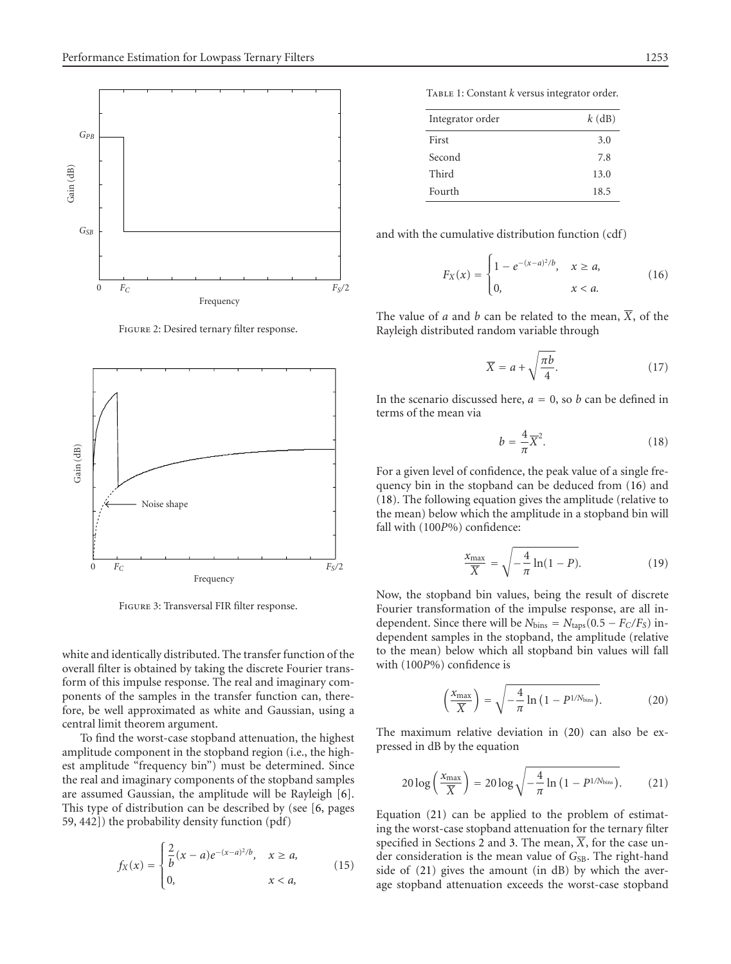

FIGURE 2: Desired ternary filter response.

<span id="page-3-0"></span>

Figure 3: Transversal FIR filter response.

<span id="page-3-1"></span>white and identically distributed. The transfer function of the overall filter is obtained by taking the discrete Fourier transform of this impulse response. The real and imaginary components of the samples in the transfer function can, therefore, be well approximated as white and Gaussian, using a central limit theorem argument.

To find the worst-case stopband attenuation, the highest amplitude component in the stopband region (i.e., the highest amplitude "frequency bin") must be determined. Since the real and imaginary components of the stopband samples are assumed Gaussian, the amplitude will be Rayleigh [\[6\]](#page-5-6). This type of distribution can be described by (see [\[6,](#page-5-6) pages 59, 442]) the probability density function (pdf)

$$
f_X(x) = \begin{cases} \frac{2}{b}(x-a)e^{-(x-a)^2/b}, & x \ge a, \\ 0, & x < a, \end{cases}
$$
 (15)

Table 1: Constant *k* versus integrator order.

<span id="page-3-2"></span>

| Integrator order | $k$ (dB) |
|------------------|----------|
| First            | 3.0      |
| Second           | 7.8      |
| Third            | 13.0     |
| Fourth           | 18.5     |

and with the cumulative distribution function (cdf)

<span id="page-3-3"></span>
$$
F_X(x) = \begin{cases} 1 - e^{-(x-a)^2/b}, & x \ge a, \\ 0, & x < a. \end{cases}
$$
 (16)

The value of *a* and *b* can be related to the mean,  $\overline{X}$ , of the Rayleigh distributed random variable through

$$
\overline{X} = a + \sqrt{\frac{\pi b}{4}}.\tag{17}
$$

<span id="page-3-4"></span>In the scenario discussed here,  $a = 0$ , so *b* can be defined in terms of the mean via

$$
b = \frac{4}{\pi} \overline{X}^2.
$$
 (18)

For a given level of confidence, the peak value of a single frequency bin in the stopband can be deduced from [\(16\)](#page-3-3) and [\(18\)](#page-3-4). The following equation gives the amplitude (relative to the mean) below which the amplitude in a stopband bin will fall with (100*P*%) confidence:

$$
\frac{x_{\text{max}}}{\overline{X}} = \sqrt{-\frac{4}{\pi} \ln(1 - P)}.
$$
 (19)

Now, the stopband bin values, being the result of discrete Fourier transformation of the impulse response, are all independent. Since there will be  $N_{bins} = N_{taps}(0.5 - F_C/F_S)$  independent samples in the stopband, the amplitude (relative to the mean) below which all stopband bin values will fall with (100*P*%) confidence is

<span id="page-3-6"></span><span id="page-3-5"></span>
$$
\left(\frac{x_{\text{max}}}{\overline{X}}\right) = \sqrt{-\frac{4}{\pi} \ln\left(1 - P^{1/N_{\text{bins}}}\right)}.
$$
 (20)

The maximum relative deviation in [\(20\)](#page-3-5) can also be expressed in dB by the equation

$$
20\log\left(\frac{x_{\text{max}}}{\overline{X}}\right) = 20\log\sqrt{-\frac{4}{\pi}\ln\left(1 - P^{1/N_{\text{bins}}}\right)}.
$$
 (21)

Equation [\(21\)](#page-3-6) can be applied to the problem of estimating the worst-case stopband attenuation for the ternary filter specified in Sections [2](#page-0-0) and [3.](#page-2-0) The mean,  $\overline{X}$ , for the case under consideration is the mean value of G<sub>SB</sub>. The right-hand side of [\(21\)](#page-3-6) gives the amount (in dB) by which the average stopband attenuation exceeds the worst-case stopband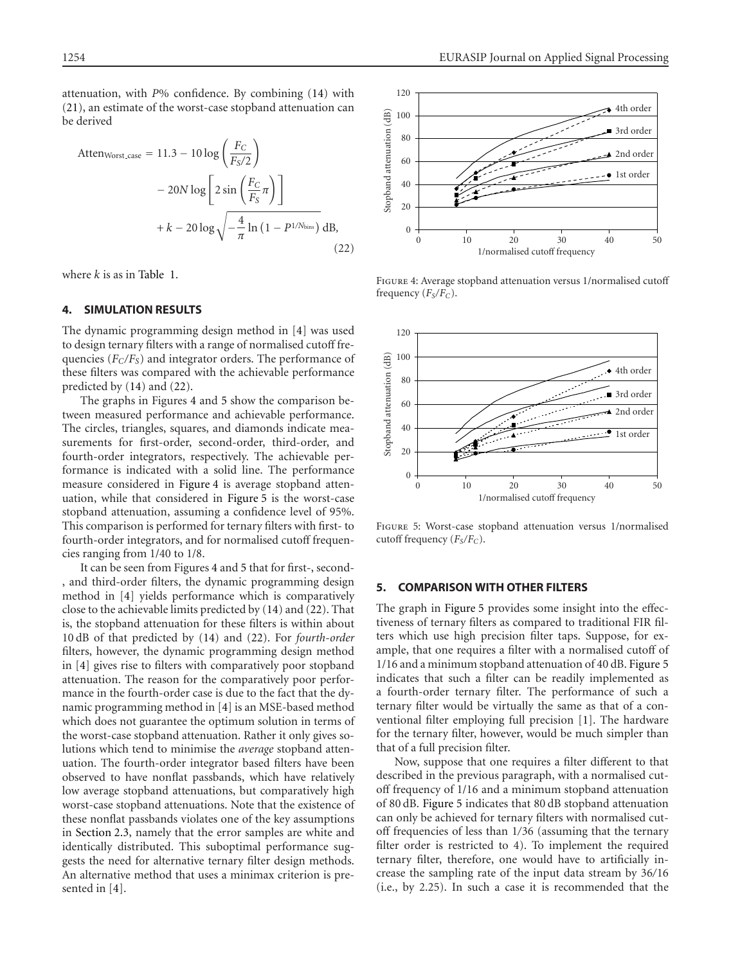attenuation, with *P*% confidence. By combining [\(14\)](#page-2-8) with [\(21\)](#page-3-6), an estimate of the worst-case stopband attenuation can be derived

Atten<sub>Worst-case</sub> = 11.3 - 10 log 
$$
\left(\frac{F_C}{F_S/2}\right)
$$

\n
$$
- 20N \log \left[2 \sin \left(\frac{F_C}{F_S} \pi\right)\right]
$$
\n
$$
+ k - 20 \log \sqrt{-\frac{4}{\pi} \ln \left(1 - P^{1/N_{\text{bins}}}\right)} \, dB,
$$
\n(22)

where *k* is as in [Table 1.](#page-3-2)

# <span id="page-4-0"></span>**4. SIMULATION RESULTS**

The dynamic programming design method in [\[4](#page-5-4)] was used to design ternary filters with a range of normalised cutoff frequencies  $(F_C/F_S)$  and integrator orders. The performance of these filters was compared with the achievable performance predicted by [\(14\)](#page-2-8) and [\(22\)](#page-4-2).

The graphs in Figures [4](#page-4-3) and [5](#page-4-4) show the comparison between measured performance and achievable performance. The circles, triangles, squares, and diamonds indicate measurements for first-order, second-order, third-order, and fourth-order integrators, respectively. The achievable performance is indicated with a solid line. The performance measure considered in [Figure 4](#page-4-3) is average stopband attenuation, while that considered in [Figure 5](#page-4-4) is the worst-case stopband attenuation, assuming a confidence level of 95%. This comparison is performed for ternary filters with first- to fourth-order integrators, and for normalised cutoff frequencies ranging from 1/40 to 1/8.

It can be seen from Figures [4](#page-4-3) and [5](#page-4-4) that for first-, second- , and third-order filters, the dynamic programming design method in [\[4\]](#page-5-4) yields performance which is comparatively close to the achievable limits predicted by [\(14\)](#page-2-8) and [\(22\)](#page-4-2). That is, the stopband attenuation for these filters is within about 10 dB of that predicted by [\(14\)](#page-2-8) and [\(22\)](#page-4-2). For *fourth-order* filters, however, the dynamic programming design method in [\[4](#page-5-4)] gives rise to filters with comparatively poor stopband attenuation. The reason for the comparatively poor performance in the fourth-order case is due to the fact that the dynamic programming method in [\[4](#page-5-4)] is an MSE-based method which does not guarantee the optimum solution in terms of the worst-case stopband attenuation. Rather it only gives solutions which tend to minimise the *average* stopband attenuation. The fourth-order integrator based filters have been observed to have nonflat passbands, which have relatively low average stopband attenuations, but comparatively high worst-case stopband attenuations. Note that the existence of these nonflat passbands violates one of the key assumptions in [Section 2.3,](#page-1-1) namely that the error samples are white and identically distributed. This suboptimal performance suggests the need for alternative ternary filter design methods. An alternative method that uses a minimax criterion is presented in [\[4\]](#page-5-4).



<span id="page-4-3"></span><span id="page-4-2"></span>Figure 4: Average stopband attenuation versus 1/normalised cutoff frequency ( $F_S/F_C$ ).



<span id="page-4-4"></span>Figure 5: Worst-case stopband attenuation versus 1/normalised cutoff frequency (*FS/FC*).

# <span id="page-4-1"></span>**5. COMPARISON WITH OTHER FILTERS**

The graph in [Figure 5](#page-4-4) provides some insight into the effectiveness of ternary filters as compared to traditional FIR filters which use high precision filter taps. Suppose, for example, that one requires a filter with a normalised cutoff of 1/16 and a minimum stopband attenuation of 40 dB. [Figure 5](#page-4-4) indicates that such a filter can be readily implemented as a fourth-order ternary filter. The performance of such a ternary filter would be virtually the same as that of a conventional filter employing full precision [\[1](#page-5-0)]. The hardware for the ternary filter, however, would be much simpler than that of a full precision filter.

Now, suppose that one requires a filter different to that described in the previous paragraph, with a normalised cutoff frequency of 1/16 and a minimum stopband attenuation of 80 dB. [Figure 5](#page-4-4) indicates that 80 dB stopband attenuation can only be achieved for ternary filters with normalised cutoff frequencies of less than 1*/*36 (assuming that the ternary filter order is restricted to 4). To implement the required ternary filter, therefore, one would have to artificially increase the sampling rate of the input data stream by 36*/*16 (i.e., by 2.25). In such a case it is recommended that the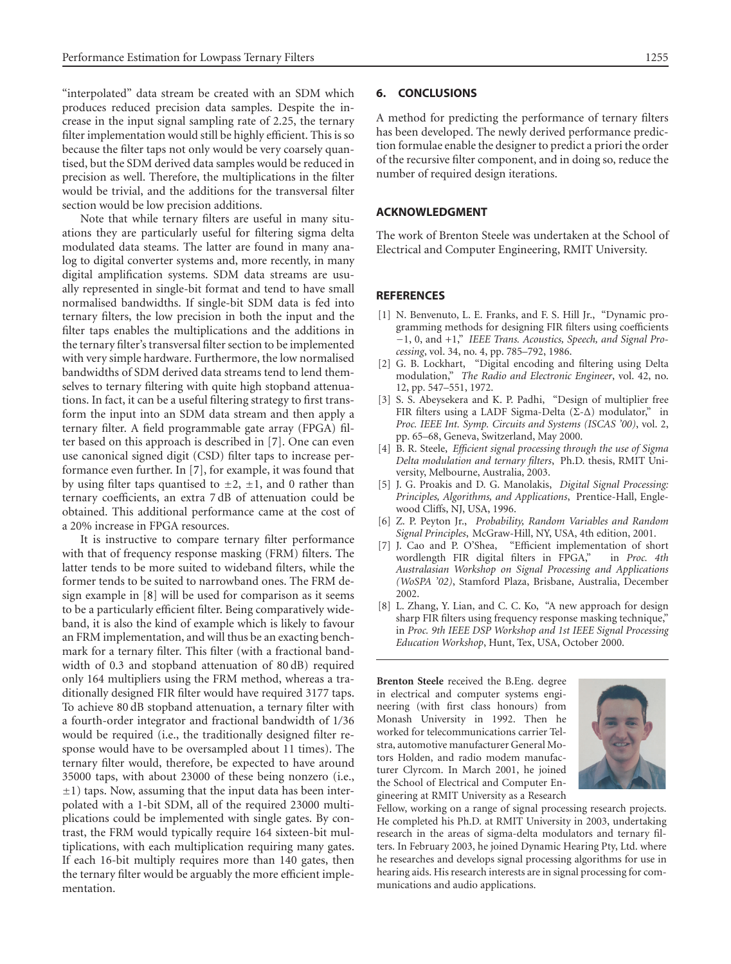"interpolated" data stream be created with an SDM which produces reduced precision data samples. Despite the increase in the input signal sampling rate of 2.25, the ternary filter implementation would still be highly efficient. This is so because the filter taps not only would be very coarsely quantised, but the SDM derived data samples would be reduced in precision as well. Therefore, the multiplications in the filter would be trivial, and the additions for the transversal filter section would be low precision additions.

Note that while ternary filters are useful in many situations they are particularly useful for filtering sigma delta modulated data steams. The latter are found in many analog to digital converter systems and, more recently, in many digital amplification systems. SDM data streams are usually represented in single-bit format and tend to have small normalised bandwidths. If single-bit SDM data is fed into ternary filters, the low precision in both the input and the filter taps enables the multiplications and the additions in the ternary filter's transversal filter section to be implemented with very simple hardware. Furthermore, the low normalised bandwidths of SDM derived data streams tend to lend themselves to ternary filtering with quite high stopband attenuations. In fact, it can be a useful filtering strategy to first transform the input into an SDM data stream and then apply a ternary filter. A field programmable gate array (FPGA) filter based on this approach is described in [\[7](#page-5-7)]. One can even use canonical signed digit (CSD) filter taps to increase performance even further. In [\[7\]](#page-5-7), for example, it was found that by using filter taps quantised to  $\pm 2$ ,  $\pm 1$ , and 0 rather than ternary coefficients, an extra 7 dB of attenuation could be obtained. This additional performance came at the cost of a 20% increase in FPGA resources.

It is instructive to compare ternary filter performance with that of frequency response masking (FRM) filters. The latter tends to be more suited to wideband filters, while the former tends to be suited to narrowband ones. The FRM design example in [\[8\]](#page-5-8) will be used for comparison as it seems to be a particularly efficient filter. Being comparatively wideband, it is also the kind of example which is likely to favour an FRM implementation, and will thus be an exacting benchmark for a ternary filter. This filter (with a fractional bandwidth of 0.3 and stopband attenuation of 80 dB) required only 164 multipliers using the FRM method, whereas a traditionally designed FIR filter would have required 3177 taps. To achieve 80 dB stopband attenuation, a ternary filter with a fourth-order integrator and fractional bandwidth of 1*/*36 would be required (i.e., the traditionally designed filter response would have to be oversampled about 11 times). The ternary filter would, therefore, be expected to have around 35000 taps, with about 23000 of these being nonzero (i.e.,  $\pm$ 1) taps. Now, assuming that the input data has been interpolated with a 1-bit SDM, all of the required 23000 multiplications could be implemented with single gates. By contrast, the FRM would typically require 164 sixteen-bit multiplications, with each multiplication requiring many gates. If each 16-bit multiply requires more than 140 gates, then the ternary filter would be arguably the more efficient implementation.

# <span id="page-5-3"></span>**6. CONCLUSIONS**

A method for predicting the performance of ternary filters has been developed. The newly derived performance prediction formulae enable the designer to predict a priori the order of the recursive filter component, and in doing so, reduce the number of required design iterations.

# **ACKNOWLEDGMENT**

The work of Brenton Steele was undertaken at the School of Electrical and Computer Engineering, RMIT University.

# **REFERENCES**

- <span id="page-5-0"></span>[1] N. Benvenuto, L. E. Franks, and F. S. Hill Jr., "Dynamic programming methods for designing FIR filters using coefficients −1, 0, and +1," *IEEE Trans. Acoustics, Speech, and Signal Processing*, vol. 34, no. 4, pp. 785–792, 1986.
- <span id="page-5-1"></span>[2] G. B. Lockhart, "Digital encoding and filtering using Delta modulation," *The Radio and Electronic Engineer*, vol. 42, no. 12, pp. 547–551, 1972.
- <span id="page-5-2"></span>[3] S. S. Abeysekera and K. P. Padhi, "Design of multiplier free FIR filters using a LADF Sigma-Delta (Σ-∆) modulator," in *Proc. IEEE Int. Symp. Circuits and Systems (ISCAS '00)*, vol. 2, pp. 65–68, Geneva, Switzerland, May 2000.
- <span id="page-5-4"></span>[4] B. R. Steele, *Efficient signal processing through the use of Sigma Delta modulation and ternary filters*, Ph.D. thesis, RMIT University, Melbourne, Australia, 2003.
- <span id="page-5-5"></span>[5] J. G. Proakis and D. G. Manolakis, *Digital Signal Processing: Principles, Algorithms, and Applications*, Prentice-Hall, Englewood Cliffs, NJ, USA, 1996.
- <span id="page-5-6"></span>[6] Z. P. Peyton Jr., *Probability, Random Variables and Random Signal Principles*, McGraw-Hill, NY, USA, 4th edition, 2001.
- <span id="page-5-7"></span>[7] J. Cao and P. O'Shea, "Efficient implementation of short wordlength FIR digital filters in FPGA," in *Proc. 4th Australasian Workshop on Signal Processing and Applications (WoSPA '02)*, Stamford Plaza, Brisbane, Australia, December 2002.
- <span id="page-5-8"></span>[8] L. Zhang, Y. Lian, and C. C. Ko, "A new approach for design sharp FIR filters using frequency response masking technique," in *Proc. 9th IEEE DSP Workshop and 1st IEEE Signal Processing Education Workshop*, Hunt, Tex, USA, October 2000.

**Brenton Steele** received the B.Eng. degree in electrical and computer systems engineering (with first class honours) from Monash University in 1992. Then he worked for telecommunications carrier Telstra, automotive manufacturer General Motors Holden, and radio modem manufacturer Clyrcom. In March 2001, he joined the School of Electrical and Computer Engineering at RMIT University as a Research



Fellow, working on a range of signal processing research projects. He completed his Ph.D. at RMIT University in 2003, undertaking research in the areas of sigma-delta modulators and ternary filters. In February 2003, he joined Dynamic Hearing Pty, Ltd. where he researches and develops signal processing algorithms for use in hearing aids. His research interests are in signal processing for communications and audio applications.